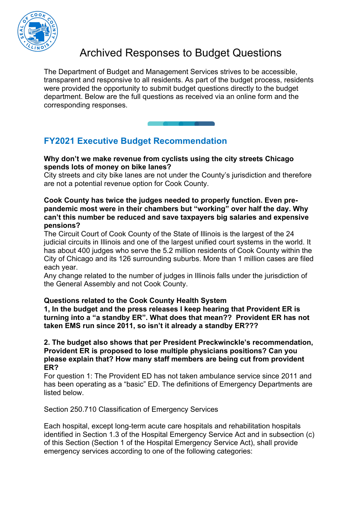

# Archived Responses to Budget Questions

The Department of Budget and Management Services strives to be accessible, transparent and responsive to all residents. As part of the budget process, residents were provided the opportunity to submit budget questions directly to the budget department. Below are the full questions as received via an online form and the corresponding responses.

## **FY2021 Executive Budget Recommendation**

#### **Why don't we make revenue from cyclists using the city streets Chicago spends lots of money on bike lanes?**

City streets and city bike lanes are not under the County's jurisdiction and therefore are not a potential revenue option for Cook County.

#### **Cook County has twice the judges needed to properly function. Even prepandemic most were in their chambers but "working" over half the day. Why can't this number be reduced and save taxpayers big salaries and expensive pensions?**

The Circuit Court of Cook County of the State of Illinois is the largest of the 24 judicial circuits in Illinois and one of the largest unified court systems in the world. It has about 400 judges who serve the 5.2 million residents of Cook County within the City of Chicago and its 126 surrounding suburbs. More than 1 million cases are filed each year.

Any change related to the number of judges in Illinois falls under the jurisdiction of the General Assembly and not Cook County.

#### **Questions related to the Cook County Health System**

**1, In the budget and the press releases I keep hearing that Provident ER is turning into a "a standby ER". What does that mean?? Provident ER has not taken EMS run since 2011, so isn't it already a standby ER???**

#### **2. The budget also shows that per President Preckwinckle's recommendation, Provident ER is proposed to lose multiple physicians positions? Can you please explain that? How many staff members are being cut from provident ER?**

For question 1: The Provident ED has not taken ambulance service since 2011 and has been operating as a "basic" ED. The definitions of Emergency Departments are listed below.

Section 250.710 Classification of Emergency Services

Each hospital, except long-term acute care hospitals and rehabilitation hospitals identified in Section 1.3 of the Hospital Emergency Service Act and in subsection (c) of this Section (Section 1 of the Hospital Emergency Service Act), shall provide emergency services according to one of the following categories: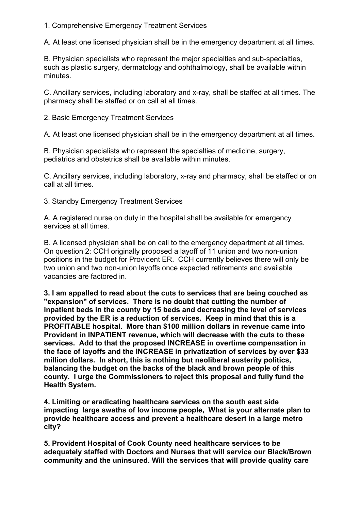#### 1. Comprehensive Emergency Treatment Services

A. At least one licensed physician shall be in the emergency department at all times.

B. Physician specialists who represent the major specialties and sub-specialties, such as plastic surgery, dermatology and ophthalmology, shall be available within minutes.

C. Ancillary services, including laboratory and x-ray, shall be staffed at all times. The pharmacy shall be staffed or on call at all times.

2. Basic Emergency Treatment Services

A. At least one licensed physician shall be in the emergency department at all times.

B. Physician specialists who represent the specialties of medicine, surgery, pediatrics and obstetrics shall be available within minutes.

C. Ancillary services, including laboratory, x-ray and pharmacy, shall be staffed or on call at all times.

3. Standby Emergency Treatment Services

A. A registered nurse on duty in the hospital shall be available for emergency services at all times.

B. A licensed physician shall be on call to the emergency department at all times. On question 2: CCH originally proposed a layoff of 11 union and two non-union positions in the budget for Provident ER. CCH currently believes there will only be two union and two non-union layoffs once expected retirements and available vacancies are factored in.

**3. I am appalled to read about the cuts to services that are being couched as "expansion" of services. There is no doubt that cutting the number of inpatient beds in the county by 15 beds and decreasing the level of services provided by the ER is a reduction of services. Keep in mind that this is a PROFITABLE hospital. More than \$100 million dollars in revenue came into Provident in INPATIENT revenue, which will decrease with the cuts to these services. Add to that the proposed INCREASE in overtime compensation in the face of layoffs and the INCREASE in privatization of services by over \$33 million dollars. In short, this is nothing but neoliberal austerity politics, balancing the budget on the backs of the black and brown people of this county. I urge the Commissioners to reject this proposal and fully fund the Health System.**

**4. Limiting or eradicating healthcare services on the south east side impacting large swaths of low income people, What is your alternate plan to provide healthcare access and prevent a healthcare desert in a large metro city?**

**5. Provident Hospital of Cook County need healthcare services to be adequately staffed with Doctors and Nurses that will service our Black/Brown community and the uninsured. Will the services that will provide quality care**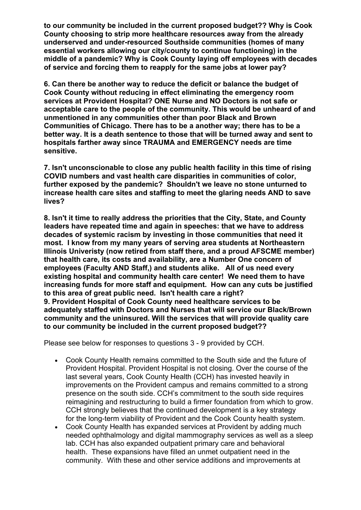**to our community be included in the current proposed budget?? Why is Cook County choosing to strip more healthcare resources away from the already underserved and under-resourced Southside communities (homes of many essential workers allowing our city/county to continue functioning) in the middle of a pandemic? Why is Cook County laying off employees with decades of service and forcing them to reapply for the same jobs at lower pay?**

**6. Can there be another way to reduce the deficit or balance the budget of Cook County without reducing in effect eliminating the emergency room services at Provident Hospital? ONE Nurse and NO Doctors is not safe or acceptable care to the people of the community. This would be unheard of and unmentioned in any communities other than poor Black and Brown Communities of Chicago. There has to be a another way; there has to be a better way. It is a death sentence to those that will be turned away and sent to hospitals farther away since TRAUMA and EMERGENCY needs are time sensitive.**

**7. Isn't unconscionable to close any public health facility in this time of rising COVID numbers and vast health care disparities in communities of color, further exposed by the pandemic? Shouldn't we leave no stone unturned to increase health care sites and staffing to meet the glaring needs AND to save lives?**

**8. Isn't it time to really address the priorities that the City, State, and County leaders have repeated time and again in speeches: that we have to address decades of systemic racism by investing in those communities that need it most. I know from my many years of serving area students at Northeastern Illinois Univeristy (now retired from staff there, and a proud AFSCME member) that health care, its costs and availability, are a Number One concern of employees (Faculty AND Staff,) and students alike. All of us need every existing hospital and community health care center! We need them to have increasing funds for more staff and equipment. How can any cuts be justified to this area of great public need. Isn't health care a right? 9. Provident Hospital of Cook County need healthcare services to be adequately staffed with Doctors and Nurses that will service our Black/Brown community and the uninsured. Will the services that will provide quality care to our community be included in the current proposed budget??**

Please see below for responses to questions 3 - 9 provided by CCH.

- Cook County Health remains committed to the South side and the future of Provident Hospital. Provident Hospital is not closing. Over the course of the last several years, Cook County Health (CCH) has invested heavily in improvements on the Provident campus and remains committed to a strong presence on the south side. CCH's commitment to the south side requires reimagining and restructuring to build a firmer foundation from which to grow. CCH strongly believes that the continued development is a key strategy for the long-term viability of Provident and the Cook County health system.
- Cook County Health has expanded services at Provident by adding much needed ophthalmology and digital mammography services as well as a sleep lab. CCH has also expanded outpatient primary care and behavioral health. These expansions have filled an unmet outpatient need in the community. With these and other service additions and improvements at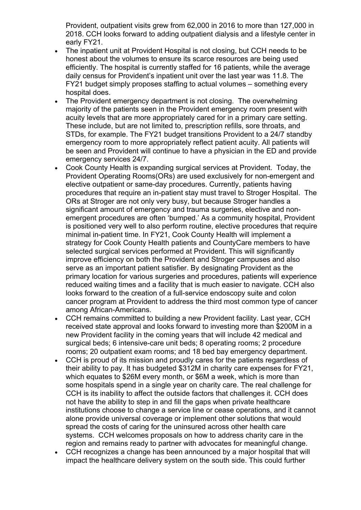Provident, outpatient visits grew from 62,000 in 2016 to more than 127,000 in 2018. CCH looks forward to adding outpatient dialysis and a lifestyle center in early FY21.

- The inpatient unit at Provident Hospital is not closing, but CCH needs to be honest about the volumes to ensure its scarce resources are being used efficiently. The hospital is currently staffed for 16 patients, while the average daily census for Provident's inpatient unit over the last year was 11.8. The FY21 budget simply proposes staffing to actual volumes – something every hospital does.
- The Provident emergency department is not closing. The overwhelming majority of the patients seen in the Provident emergency room present with acuity levels that are more appropriately cared for in a primary care setting. These include, but are not limited to, prescription refills, sore throats, and STDs, for example. The FY21 budget transitions Provident to a 24/7 standby emergency room to more appropriately reflect patient acuity. All patients will be seen and Provident will continue to have a physician in the ED and provide emergency services 24/7.
- Cook County Health is expanding surgical services at Provident. Today, the Provident Operating Rooms(ORs) are used exclusively for non-emergent and elective outpatient or same-day procedures. Currently, patients having procedures that require an in-patient stay must travel to Stroger Hospital. The ORs at Stroger are not only very busy, but because Stroger handles a significant amount of emergency and trauma surgeries, elective and nonemergent procedures are often 'bumped.' As a community hospital, Provident is positioned very well to also perform routine, elective procedures that require minimal in-patient time. In FY21, Cook County Health will implement a strategy for Cook County Health patients and CountyCare members to have selected surgical services performed at Provident. This will significantly improve efficiency on both the Provident and Stroger campuses and also serve as an important patient satisfier. By designating Provident as the primary location for various surgeries and procedures, patients will experience reduced waiting times and a facility that is much easier to navigate. CCH also looks forward to the creation of a full-service endoscopy suite and colon cancer program at Provident to address the third most common type of cancer among African-Americans.
- CCH remains committed to building a new Provident facility. Last year, CCH received state approval and looks forward to investing more than \$200M in a new Provident facility in the coming years that will include 42 medical and surgical beds; 6 intensive-care unit beds; 8 operating rooms; 2 procedure rooms; 20 outpatient exam rooms; and 18 bed bay emergency department.
- CCH is proud of its mission and proudly cares for the patients regardless of their ability to pay. It has budgeted \$312M in charity care expenses for FY21, which equates to \$26M every month, or \$6M a week, which is more than some hospitals spend in a single year on charity care. The real challenge for CCH is its inability to affect the outside factors that challenges it. CCH does not have the ability to step in and fill the gaps when private healthcare institutions choose to change a service line or cease operations, and it cannot alone provide universal coverage or implement other solutions that would spread the costs of caring for the uninsured across other health care systems. CCH welcomes proposals on how to address charity care in the region and remains ready to partner with advocates for meaningful change.
- CCH recognizes a change has been announced by a major hospital that will impact the healthcare delivery system on the south side. This could further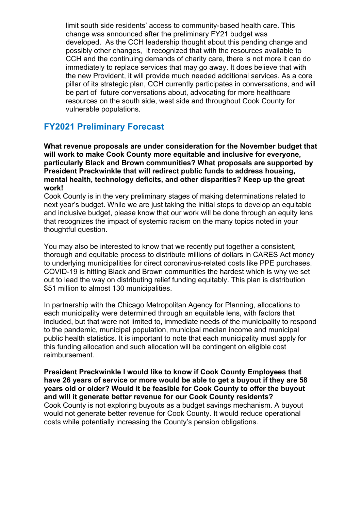limit south side residents' access to community-based health care. This change was announced after the preliminary FY21 budget was developed. As the CCH leadership thought about this pending change and possibly other changes, it recognized that with the resources available to CCH and the continuing demands of charity care, there is not more it can do immediately to replace services that may go away. It does believe that with the new Provident, it will provide much needed additional services. As a core pillar of its strategic plan, CCH currently participates in conversations, and will be part of future conversations about, advocating for more healthcare resources on the south side, west side and throughout Cook County for vulnerable populations.

### **FY2021 Preliminary Forecast**

**What revenue proposals are under consideration for the November budget that will work to make Cook County more equitable and inclusive for everyone, particularly Black and Brown communities? What proposals are supported by President Preckwinkle that will redirect public funds to address housing, mental health, technology deficits, and other disparities? Keep up the great work!**

Cook County is in the very preliminary stages of making determinations related to next year's budget. While we are just taking the initial steps to develop an equitable and inclusive budget, please know that our work will be done through an equity lens that recognizes the impact of systemic racism on the many topics noted in your thoughtful question.

You may also be interested to know that we recently put together a consistent, thorough and equitable process to distribute millions of dollars in CARES Act money to underlying municipalities for direct coronavirus-related costs like PPE purchases. COVID-19 is hitting Black and Brown communities the hardest which is why we set out to lead the way on distributing relief funding equitably. This plan is distribution \$51 million to almost 130 municipalities.

In partnership with the Chicago Metropolitan Agency for Planning, allocations to each municipality were determined through an equitable lens, with factors that included, but that were not limited to, immediate needs of the municipality to respond to the pandemic, municipal population, municipal median income and municipal public health statistics. It is important to note that each municipality must apply for this funding allocation and such allocation will be contingent on eligible cost reimbursement.

**President Preckwinkle I would like to know if Cook County Employees that have 26 years of service or more would be able to get a buyout if they are 58 years old or older? Would it be feasible for Cook County to offer the buyout and will it generate better revenue for our Cook County residents?**  Cook County is not exploring buyouts as a budget savings mechanism. A buyout would not generate better revenue for Cook County. It would reduce operational costs while potentially increasing the County's pension obligations.